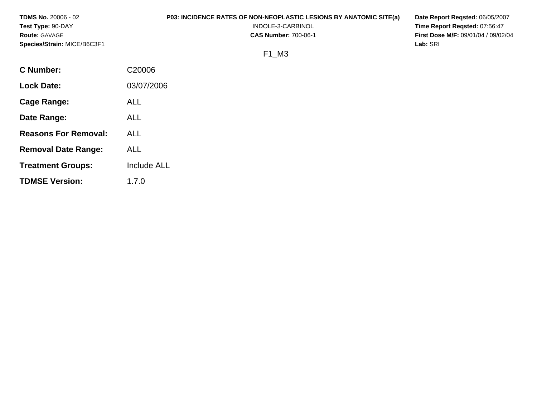| <b>TDMS No. 20006 - 02</b>  | <b>P03: INCIDENCE RATES OF NON-NEOPLASTIC LESIONS BY ANATOMIC SITE(a)</b><br>Date Report Reqsted: 06/05/2007 |                                            |  |  |
|-----------------------------|--------------------------------------------------------------------------------------------------------------|--------------------------------------------|--|--|
| Test Type: 90-DAY           | INDOLE-3-CARBINOL                                                                                            | Time Report Regsted: 07:56:47              |  |  |
| <b>Route: GAVAGE</b>        | <b>CAS Number: 700-06-1</b>                                                                                  | <b>First Dose M/F: 09/01/04 / 09/02/04</b> |  |  |
| Species/Strain: MICE/B6C3F1 | Lab: SRI                                                                                                     |                                            |  |  |
|                             | F1 M3                                                                                                        |                                            |  |  |
| <b>C</b> Number:            | C20006                                                                                                       |                                            |  |  |
| <b>Lock Date:</b>           | 03/07/2006                                                                                                   |                                            |  |  |
| Cage Range:                 | ALL                                                                                                          |                                            |  |  |

**Date Range:** 

**Reasons For Removal:** 

ALL

ALL

ALL

1.7.0

Include ALL

**Removal Date Range:** 

**Treatment Groups:** 

**TDMSE Version:**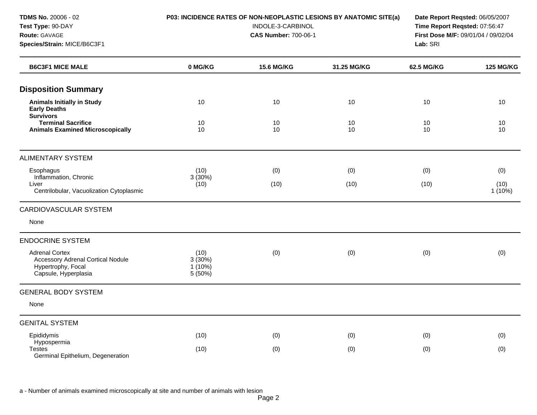**Species/Strain:** MICE/B6C3F1 **Lab:** SRI

#### **TDMS No.** 20006 - 02 **P03: INCIDENCE RATES OF NON-NEOPLASTIC LESIONS BY ANATOMIC SITE(a) Date Report Reqsted:** 06/05/2007

**Test Type:** 90-DAY INDOLE-3-CARBINOL **Time Report Reqsted:** 07:56:47 **Route:** GAVAGE **CAS Number:** 700-06-1 **First Dose M/F:** 09/01/04 / 09/02/04

| <b>B6C3F1 MICE MALE</b>                                                                                         | 0 MG/KG                                | <b>15.6 MG/KG</b> | 31.25 MG/KG | 62.5 MG/KG | <b>125 MG/KG</b> |
|-----------------------------------------------------------------------------------------------------------------|----------------------------------------|-------------------|-------------|------------|------------------|
| <b>Disposition Summary</b>                                                                                      |                                        |                   |             |            |                  |
| <b>Animals Initially in Study</b><br><b>Early Deaths</b>                                                        | 10                                     | 10                | 10          | 10         | 10               |
| <b>Survivors</b><br><b>Terminal Sacrifice</b><br><b>Animals Examined Microscopically</b>                        | 10<br>10                               | 10<br>10          | 10<br>10    | 10<br>10   | 10<br>10         |
| <b>ALIMENTARY SYSTEM</b>                                                                                        |                                        |                   |             |            |                  |
| Esophagus                                                                                                       | (10)                                   | (0)               | (0)         | (0)        | (0)              |
| Inflammation, Chronic<br>Liver<br>Centrilobular, Vacuolization Cytoplasmic                                      | 3(30%)<br>(10)                         | (10)              | (10)        | (10)       | (10)<br>1(10%)   |
| <b>CARDIOVASCULAR SYSTEM</b>                                                                                    |                                        |                   |             |            |                  |
| None                                                                                                            |                                        |                   |             |            |                  |
| <b>ENDOCRINE SYSTEM</b>                                                                                         |                                        |                   |             |            |                  |
| <b>Adrenal Cortex</b><br><b>Accessory Adrenal Cortical Nodule</b><br>Hypertrophy, Focal<br>Capsule, Hyperplasia | (10)<br>3(30%)<br>$1(10\%)$<br>5 (50%) | (0)               | (0)         | (0)        | (0)              |
| <b>GENERAL BODY SYSTEM</b>                                                                                      |                                        |                   |             |            |                  |
| None                                                                                                            |                                        |                   |             |            |                  |
| <b>GENITAL SYSTEM</b>                                                                                           |                                        |                   |             |            |                  |
| Epididymis                                                                                                      | (10)                                   | (0)               | (0)         | (0)        | (0)              |
| Hypospermia<br><b>Testes</b><br>Germinal Epithelium, Degeneration                                               | (10)                                   | (0)               | (0)         | (0)        | (0)              |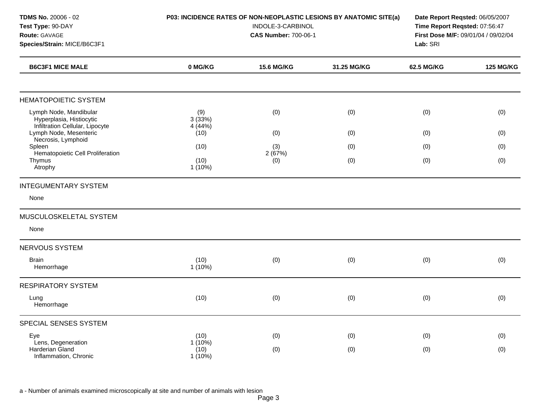| TDMS No. 20006 - 02<br>Test Type: 90-DAY<br>Route: GAVAGE<br>Species/Strain: MICE/B6C3F1 | P03: INCIDENCE RATES OF NON-NEOPLASTIC LESIONS BY ANATOMIC SITE(a) | Lab: SRI          | Date Report Reqsted: 06/05/2007<br>Time Report Reqsted: 07:56:47<br>First Dose M/F: 09/01/04 / 09/02/04 |                   |                  |
|------------------------------------------------------------------------------------------|--------------------------------------------------------------------|-------------------|---------------------------------------------------------------------------------------------------------|-------------------|------------------|
| <b>B6C3F1 MICE MALE</b>                                                                  | 0 MG/KG                                                            | <b>15.6 MG/KG</b> | 31.25 MG/KG                                                                                             | <b>62.5 MG/KG</b> | <b>125 MG/KG</b> |
| <b>HEMATOPOIETIC SYSTEM</b>                                                              |                                                                    |                   |                                                                                                         |                   |                  |
| Lymph Node, Mandibular<br>Hyperplasia, Histiocytic<br>Infiltration Cellular, Lipocyte    | (9)<br>3(33%)<br>4 (44%)                                           | (0)               | (0)                                                                                                     | (0)               | (0)              |
| Lymph Node, Mesenteric                                                                   | (10)                                                               | (0)               | (0)                                                                                                     | (0)               | (0)              |
| Necrosis, Lymphoid<br>Spleen                                                             | (10)                                                               | (3)               | (0)                                                                                                     | (0)               | (0)              |
| Hematopoietic Cell Proliferation<br>Thymus<br>Atrophy                                    | (10)<br>$1(10\%)$                                                  | 2(67%)<br>(0)     | (0)                                                                                                     | (0)               | (0)              |
| <b>INTEGUMENTARY SYSTEM</b>                                                              |                                                                    |                   |                                                                                                         |                   |                  |
| None                                                                                     |                                                                    |                   |                                                                                                         |                   |                  |
| MUSCULOSKELETAL SYSTEM                                                                   |                                                                    |                   |                                                                                                         |                   |                  |
| None                                                                                     |                                                                    |                   |                                                                                                         |                   |                  |
| NERVOUS SYSTEM                                                                           |                                                                    |                   |                                                                                                         |                   |                  |
| <b>Brain</b><br>Hemorrhage                                                               | (10)<br>1(10%)                                                     | (0)               | (0)                                                                                                     | (0)               | (0)              |
| <b>RESPIRATORY SYSTEM</b>                                                                |                                                                    |                   |                                                                                                         |                   |                  |
| Lung<br>Hemorrhage                                                                       | (10)                                                               | (0)               | (0)                                                                                                     | (0)               | (0)              |
| SPECIAL SENSES SYSTEM                                                                    |                                                                    |                   |                                                                                                         |                   |                  |
| Eye                                                                                      | (10)                                                               | (0)               | (0)                                                                                                     | (0)               | (0)              |
| Lens, Degeneration<br><b>Harderian Gland</b><br>Inflammation, Chronic                    | $1(10\%)$<br>(10)<br>1(10%)                                        | (0)               | (0)                                                                                                     | (0)               | (0)              |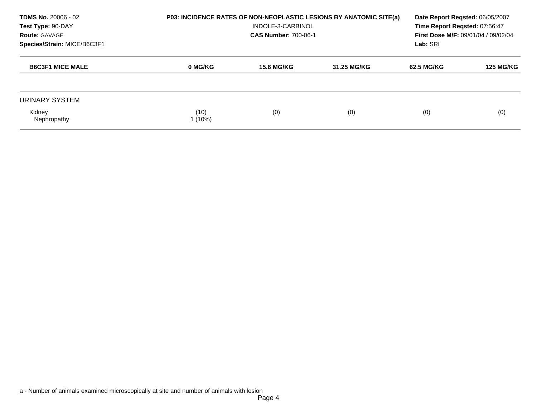| <b>TDMS No. 20006 - 02</b><br>Test Type: 90-DAY<br><b>Route: GAVAGE</b><br>Species/Strain: MICE/B6C3F1 | <b>P03: INCIDENCE RATES OF NON-NEOPLASTIC LESIONS BY ANATOMIC SITE(a)</b> | Date Report Regsted: 06/05/2007<br>Time Report Reqsted: 07:56:47<br>First Dose M/F: 09/01/04 / 09/02/04<br>Lab: SRI |             |            |                  |
|--------------------------------------------------------------------------------------------------------|---------------------------------------------------------------------------|---------------------------------------------------------------------------------------------------------------------|-------------|------------|------------------|
| <b>B6C3F1 MICE MALE</b>                                                                                | 0 MG/KG                                                                   | <b>15.6 MG/KG</b>                                                                                                   | 31.25 MG/KG | 62.5 MG/KG | <b>125 MG/KG</b> |
| URINARY SYSTEM                                                                                         |                                                                           |                                                                                                                     |             |            |                  |
| Kidney<br>Nephropathy                                                                                  | (10)<br>$1(10\%)$                                                         | (0)                                                                                                                 | (0)         | (0)        | (0)              |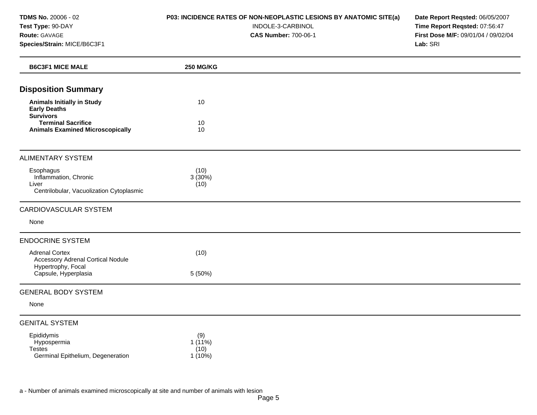#### **P03: INCIDENCE RATES OF NON-NEOPLASTIC LESIONS BY ANATOMIC SITE(a)**  INDOLE-3-CARBINOL

**CAS Number:** 700-06-1

**Date Report Reqsted:** 06/05/2007 **Time Report Reqsted:** 07:56:47 **First Dose M/F:** 09/01/04 / 09/02/04 **Lab:** SRI

| <b>B6C3F1 MICE MALE</b>                                                                 | <b>250 MG/KG</b>                   |  |
|-----------------------------------------------------------------------------------------|------------------------------------|--|
| <b>Disposition Summary</b>                                                              |                                    |  |
| <b>Animals Initially in Study</b><br><b>Early Deaths</b><br><b>Survivors</b>            | 10                                 |  |
| <b>Terminal Sacrifice</b><br><b>Animals Examined Microscopically</b>                    | 10<br>10                           |  |
| <b>ALIMENTARY SYSTEM</b>                                                                |                                    |  |
| Esophagus<br>Inflammation, Chronic<br>Liver<br>Centrilobular, Vacuolization Cytoplasmic | (10)<br>3(30%)<br>(10)             |  |
| CARDIOVASCULAR SYSTEM                                                                   |                                    |  |
| None                                                                                    |                                    |  |
| <b>ENDOCRINE SYSTEM</b>                                                                 |                                    |  |
| <b>Adrenal Cortex</b><br><b>Accessory Adrenal Cortical Nodule</b><br>Hypertrophy, Focal | (10)                               |  |
| Capsule, Hyperplasia                                                                    | 5 (50%)                            |  |
| <b>GENERAL BODY SYSTEM</b>                                                              |                                    |  |
| None                                                                                    |                                    |  |
| <b>GENITAL SYSTEM</b>                                                                   |                                    |  |
| Epididymis<br>Hypospermia<br><b>Testes</b><br>Germinal Epithelium, Degeneration         | (9)<br>1(11%)<br>(10)<br>$1(10\%)$ |  |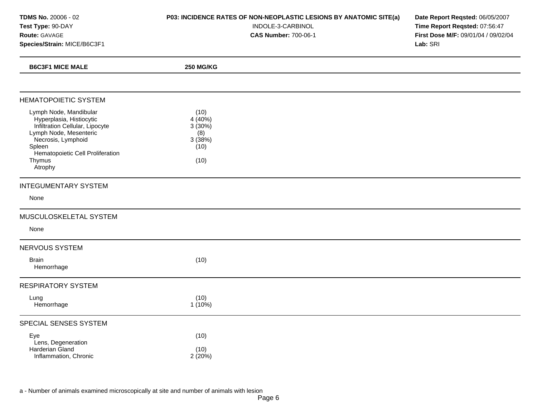| <b>TDMS No. 20006 - 02</b>  |
|-----------------------------|
| Test Type: 90-DAY           |
| <b>Route: GAVAGE</b>        |
| Species/Strain: MICE/B6C3F1 |

## **P03: INCIDENCE RATES OF NON-NEOPLASTIC LESIONS BY ANATOMIC SITE(a)**

INDOLE-3-CARBINOL

**CAS Number:** 700-06-1

**Date Report Reqsted:** 06/05/2007 **Time Report Reqsted:** 07:56:47 **First Dose M/F:** 09/01/04 / 09/02/04 **Lab:** SRI

| <b>B6C3F1 MICE MALE</b>                                                                                                                                                                                  | <b>250 MG/KG</b>                                          |  |
|----------------------------------------------------------------------------------------------------------------------------------------------------------------------------------------------------------|-----------------------------------------------------------|--|
|                                                                                                                                                                                                          |                                                           |  |
| <b>HEMATOPOIETIC SYSTEM</b>                                                                                                                                                                              |                                                           |  |
| Lymph Node, Mandibular<br>Hyperplasia, Histiocytic<br>Infiltration Cellular, Lipocyte<br>Lymph Node, Mesenteric<br>Necrosis, Lymphoid<br>Spleen<br>Hematopoietic Cell Proliferation<br>Thymus<br>Atrophy | (10)<br>4(40%)<br>3(30%)<br>(8)<br>3(38%)<br>(10)<br>(10) |  |
| <b>INTEGUMENTARY SYSTEM</b>                                                                                                                                                                              |                                                           |  |
| None                                                                                                                                                                                                     |                                                           |  |
| MUSCULOSKELETAL SYSTEM                                                                                                                                                                                   |                                                           |  |
| None                                                                                                                                                                                                     |                                                           |  |
| NERVOUS SYSTEM                                                                                                                                                                                           |                                                           |  |
| <b>Brain</b><br>Hemorrhage                                                                                                                                                                               | (10)                                                      |  |
| <b>RESPIRATORY SYSTEM</b>                                                                                                                                                                                |                                                           |  |
| Lung<br>Hemorrhage                                                                                                                                                                                       | (10)<br>$1(10\%)$                                         |  |
| SPECIAL SENSES SYSTEM                                                                                                                                                                                    |                                                           |  |
| Eye<br>Lens, Degeneration<br>Harderian Gland<br>Inflammation, Chronic                                                                                                                                    | (10)<br>(10)<br>2(20%)                                    |  |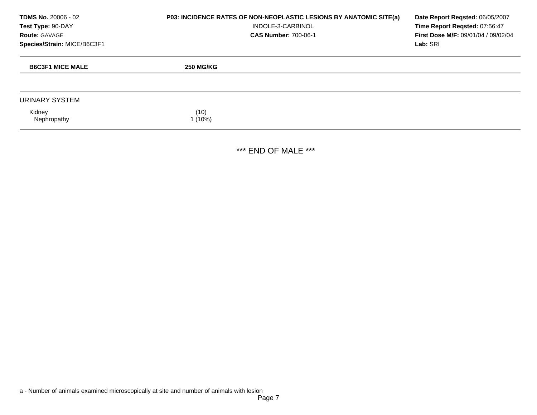**TDMS No.** 20006 - 02 **Test Type:** 90-DAY **Route:** GAVAGE **Species/Strain:** MICE/B6C3F1

#### **P03: INCIDENCE RATES OF NON-NEOPLASTIC LESIONS BY ANATOMIC SITE(a)**  INDOLE-3-CARBINOL

**CAS Number:** 700-06-1

**Date Report Reqsted:** 06/05/2007 **Time Report Reqsted:** 07:56:47 **First Dose M/F:** 09/01/04 / 09/02/04 **Lab:** SRI

| <b>B6C3F1 MICE MALE</b> | <b>250 MG/KG</b> |
|-------------------------|------------------|
|                         |                  |
| URINARY SYSTEM          |                  |
| Kidney<br>Nephropathy   | (10)<br>(10%)    |

\*\*\* END OF MALE \*\*\*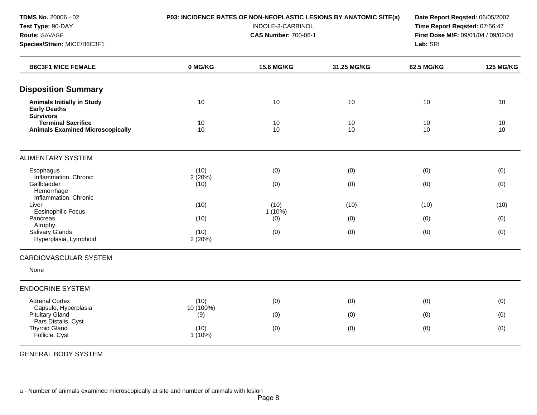**Species/Strain:** MICE/B6C3F1 **Lab:** SRI

#### **TDMS No.** 20006 - 02 **P03: INCIDENCE RATES OF NON-NEOPLASTIC LESIONS BY ANATOMIC SITE(a) Date Report Reqsted:** 06/05/2007

**Test Type:** 90-DAY INDOLE-3-CARBINOL **Time Report Reqsted:** 07:56:47 **Route:** GAVAGE **CAS Number:** 700-06-1 **First Dose M/F:** 09/01/04 / 09/02/04

| <b>B6C3F1 MICE FEMALE</b>                                                                | 0 MG/KG           | <b>15.6 MG/KG</b> | 31.25 MG/KG | <b>62.5 MG/KG</b> | <b>125 MG/KG</b> |
|------------------------------------------------------------------------------------------|-------------------|-------------------|-------------|-------------------|------------------|
| <b>Disposition Summary</b>                                                               |                   |                   |             |                   |                  |
| <b>Animals Initially in Study</b><br><b>Early Deaths</b>                                 | 10                | 10                | 10          | 10                | 10               |
| <b>Survivors</b><br><b>Terminal Sacrifice</b><br><b>Animals Examined Microscopically</b> | 10<br>10          | 10<br>10          | 10<br>10    | 10<br>10          | 10<br>10         |
| <b>ALIMENTARY SYSTEM</b>                                                                 |                   |                   |             |                   |                  |
| Esophagus                                                                                | (10)              | (0)               | (0)         | (0)               | (0)              |
| Inflammation, Chronic<br>Gallbladder<br>Hemorrhage<br>Inflammation, Chronic              | 2(20%)<br>(10)    | (0)               | (0)         | (0)               | (0)              |
| Liver                                                                                    | (10)              | (10)              | (10)        | (10)              | (10)             |
| <b>Eosinophilic Focus</b><br>Pancreas                                                    | (10)              | $1(10\%)$<br>(0)  | (0)         | (0)               | (0)              |
| Atrophy<br>Salivary Glands<br>Hyperplasia, Lymphoid                                      | (10)<br>2(20%)    | (0)               | (0)         | (0)               | (0)              |
| <b>CARDIOVASCULAR SYSTEM</b>                                                             |                   |                   |             |                   |                  |
| None                                                                                     |                   |                   |             |                   |                  |
| <b>ENDOCRINE SYSTEM</b>                                                                  |                   |                   |             |                   |                  |
| <b>Adrenal Cortex</b>                                                                    | (10)              | (0)               | (0)         | (0)               | (0)              |
| Capsule, Hyperplasia<br><b>Pituitary Gland</b>                                           | 10 (100%)<br>(9)  | (0)               | (0)         | (0)               | (0)              |
| Pars Distalis, Cyst<br><b>Thyroid Gland</b><br>Follicle, Cyst                            | (10)<br>$1(10\%)$ | (0)               | (0)         | (0)               | (0)              |

GENERAL BODY SYSTEM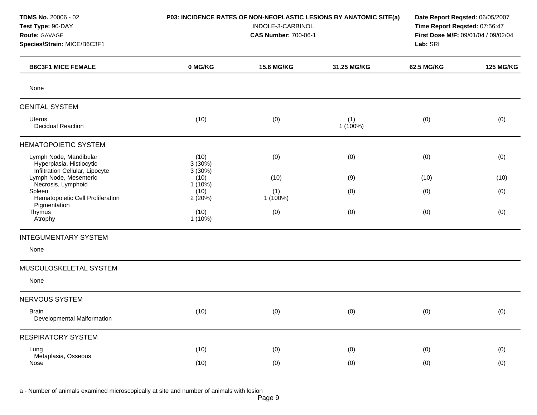#### **TDMS No.** 20006 - 02 **P03: INCIDENCE RATES OF NON-NEOPLASTIC LESIONS BY ANATOMIC SITE(a) Date Report Reqsted:** 06/05/2007

**Test Type:** 90-DAY INDOLE-3-CARBINOL **Time Report Reqsted:** 07:56:47 **Route:** GAVAGE **CAS Number:** 700-06-1 **First Dose M/F:** 09/01/04 / 09/02/04 **Species/Strain:** MICE/B6C3F1 **Lab:** SRI

| <b>B6C3F1 MICE FEMALE</b>                                                             | 0 MG/KG                     | 15.6 MG/KG        | 31.25 MG/KG     | 62.5 MG/KG | <b>125 MG/KG</b> |
|---------------------------------------------------------------------------------------|-----------------------------|-------------------|-----------------|------------|------------------|
| None                                                                                  |                             |                   |                 |            |                  |
| <b>GENITAL SYSTEM</b>                                                                 |                             |                   |                 |            |                  |
| <b>Uterus</b><br><b>Decidual Reaction</b>                                             | (10)                        | (0)               | (1)<br>1 (100%) | (0)        | (0)              |
| <b>HEMATOPOIETIC SYSTEM</b>                                                           |                             |                   |                 |            |                  |
| Lymph Node, Mandibular<br>Hyperplasia, Histiocytic<br>Infiltration Cellular, Lipocyte | (10)<br>3(30%)<br>3(30%)    | (0)               | (0)             | (0)        | (0)              |
| Lymph Node, Mesenteric                                                                | (10)                        | (10)              | (9)             | (10)       | (10)             |
| Necrosis, Lymphoid<br>Spleen<br>Hematopoietic Cell Proliferation<br>Pigmentation      | $1(10\%)$<br>(10)<br>2(20%) | (1)<br>$1(100\%)$ | (0)             | (0)        | (0)              |
| Thymus<br>Atrophy                                                                     | (10)<br>1(10%)              | (0)               | (0)             | (0)        | (0)              |
| <b>INTEGUMENTARY SYSTEM</b>                                                           |                             |                   |                 |            |                  |
| None                                                                                  |                             |                   |                 |            |                  |
| MUSCULOSKELETAL SYSTEM                                                                |                             |                   |                 |            |                  |
| None                                                                                  |                             |                   |                 |            |                  |
| <b>NERVOUS SYSTEM</b>                                                                 |                             |                   |                 |            |                  |
| <b>Brain</b><br>Developmental Malformation                                            | (10)                        | (0)               | (0)             | (0)        | (0)              |
| <b>RESPIRATORY SYSTEM</b>                                                             |                             |                   |                 |            |                  |
| Lung                                                                                  | (10)                        | (0)               | (0)             | (0)        | (0)              |
| Metaplasia, Osseous<br>Nose                                                           | (10)                        | (0)               | (0)             | (0)        | (0)              |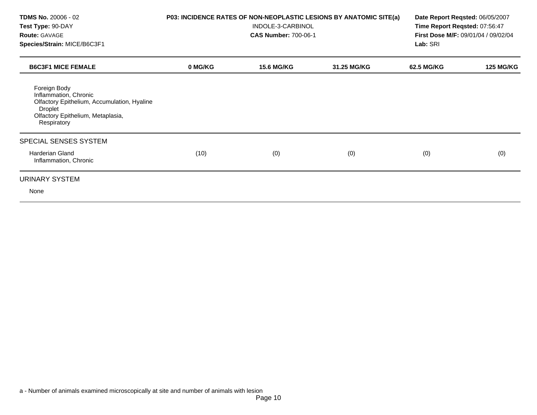| <b>TDMS No. 20006 - 02</b><br>Test Type: 90-DAY<br><b>Route: GAVAGE</b><br>Species/Strain: MICE/B6C3F1                                              | P03: INCIDENCE RATES OF NON-NEOPLASTIC LESIONS BY ANATOMIC SITE(a) | Date Report Reqsted: 06/05/2007<br>Time Report Reqsted: 07:56:47<br>First Dose M/F: 09/01/04 / 09/02/04<br>Lab: SRI |             |            |                  |
|-----------------------------------------------------------------------------------------------------------------------------------------------------|--------------------------------------------------------------------|---------------------------------------------------------------------------------------------------------------------|-------------|------------|------------------|
| <b>B6C3F1 MICE FEMALE</b>                                                                                                                           | 0 MG/KG                                                            | <b>15.6 MG/KG</b>                                                                                                   | 31.25 MG/KG | 62.5 MG/KG | <b>125 MG/KG</b> |
| Foreign Body<br>Inflammation, Chronic<br>Olfactory Epithelium, Accumulation, Hyaline<br>Droplet<br>Olfactory Epithelium, Metaplasia,<br>Respiratory |                                                                    |                                                                                                                     |             |            |                  |
| SPECIAL SENSES SYSTEM                                                                                                                               |                                                                    |                                                                                                                     |             |            |                  |
| <b>Harderian Gland</b><br>Inflammation, Chronic                                                                                                     | (10)                                                               | (0)                                                                                                                 | (0)         | (0)        | (0)              |
| URINARY SYSTEM                                                                                                                                      |                                                                    |                                                                                                                     |             |            |                  |
| None                                                                                                                                                |                                                                    |                                                                                                                     |             |            |                  |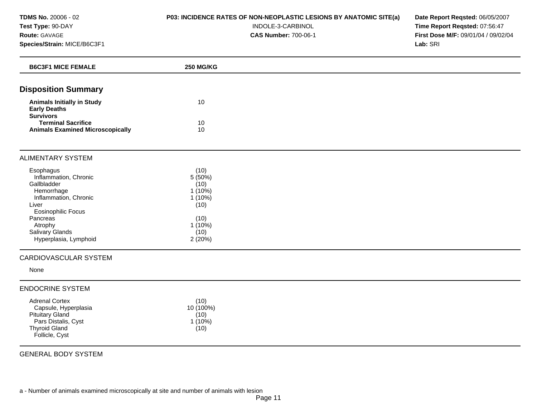# **P03: INCIDENCE RATES OF NON-NEOPLASTIC LESIONS BY ANATOMIC SITE(a)**

#### INDOLE-3-CARBINOL

**CAS Number:** 700-06-1

**Date Report Reqsted:** 06/05/2007 **Time Report Reqsted:** 07:56:47 **First Dose M/F:** 09/01/04 / 09/02/04 **Lab:** SRI

| <b>B6C3F1 MICE FEMALE</b>                                                                                                                                                                                | <b>250 MG/KG</b>                                                                                |  |
|----------------------------------------------------------------------------------------------------------------------------------------------------------------------------------------------------------|-------------------------------------------------------------------------------------------------|--|
| <b>Disposition Summary</b>                                                                                                                                                                               |                                                                                                 |  |
| <b>Animals Initially in Study</b><br><b>Early Deaths</b><br><b>Survivors</b>                                                                                                                             | 10                                                                                              |  |
| <b>Terminal Sacrifice</b><br><b>Animals Examined Microscopically</b>                                                                                                                                     | 10<br>10                                                                                        |  |
| <b>ALIMENTARY SYSTEM</b>                                                                                                                                                                                 |                                                                                                 |  |
| Esophagus<br>Inflammation, Chronic<br>Gallbladder<br>Hemorrhage<br>Inflammation, Chronic<br>Liver<br><b>Eosinophilic Focus</b><br>Pancreas<br>Atrophy<br><b>Salivary Glands</b><br>Hyperplasia, Lymphoid | (10)<br>5(50%)<br>(10)<br>$1(10\%)$<br>$1(10\%)$<br>(10)<br>(10)<br>$1(10\%)$<br>(10)<br>2(20%) |  |
| CARDIOVASCULAR SYSTEM                                                                                                                                                                                    |                                                                                                 |  |
| None                                                                                                                                                                                                     |                                                                                                 |  |
| <b>ENDOCRINE SYSTEM</b><br><b>Adrenal Cortex</b><br>Capsule, Hyperplasia<br><b>Pituitary Gland</b><br>Pars Distalis, Cyst<br><b>Thyroid Gland</b><br>Follicle, Cyst                                      | (10)<br>10 (100%)<br>(10)<br>$1(10\%)$<br>(10)                                                  |  |

GENERAL BODY SYSTEM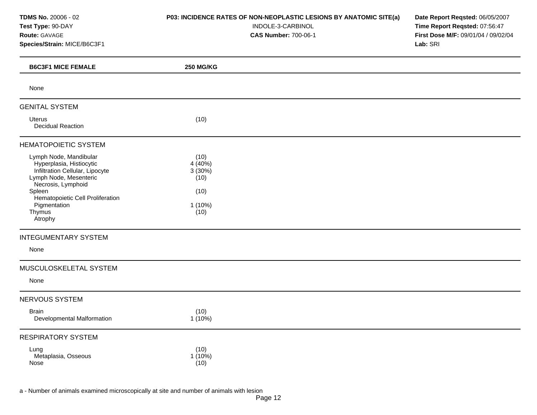**TDMS No.** 20006 - 02 **Test Type:** 90-DAY **Route:** GAVAGE **Species/Strain:** MICE/B6C3F1

### **P03: INCIDENCE RATES OF NON-NEOPLASTIC LESIONS BY ANATOMIC SITE(a)**

INDOLE-3-CARBINOL

**CAS Number:** 700-06-1

**Date Report Reqsted:** 06/05/2007 **Time Report Reqsted:** 07:56:47 **First Dose M/F:** 09/01/04 / 09/02/04 **Lab:** SRI

| <b>B6C3F1 MICE FEMALE</b>                                                                                                                                                                                                | <b>250 MG/KG</b>                                                 |  |
|--------------------------------------------------------------------------------------------------------------------------------------------------------------------------------------------------------------------------|------------------------------------------------------------------|--|
| None                                                                                                                                                                                                                     |                                                                  |  |
| <b>GENITAL SYSTEM</b>                                                                                                                                                                                                    |                                                                  |  |
| Uterus<br><b>Decidual Reaction</b>                                                                                                                                                                                       | (10)                                                             |  |
| <b>HEMATOPOIETIC SYSTEM</b>                                                                                                                                                                                              |                                                                  |  |
| Lymph Node, Mandibular<br>Hyperplasia, Histiocytic<br>Infiltration Cellular, Lipocyte<br>Lymph Node, Mesenteric<br>Necrosis, Lymphoid<br>Spleen<br>Hematopoietic Cell Proliferation<br>Pigmentation<br>Thymus<br>Atrophy | (10)<br>$4(40\%)$<br>3(30%)<br>(10)<br>(10)<br>$1(10\%)$<br>(10) |  |
| <b>INTEGUMENTARY SYSTEM</b>                                                                                                                                                                                              |                                                                  |  |
| None                                                                                                                                                                                                                     |                                                                  |  |
| MUSCULOSKELETAL SYSTEM<br>None                                                                                                                                                                                           |                                                                  |  |
| <b>NERVOUS SYSTEM</b>                                                                                                                                                                                                    |                                                                  |  |
| <b>Brain</b><br>Developmental Malformation                                                                                                                                                                               | (10)<br>$1(10\%)$                                                |  |
| <b>RESPIRATORY SYSTEM</b>                                                                                                                                                                                                |                                                                  |  |
| Lung<br>Metaplasia, Osseous<br>Nose                                                                                                                                                                                      | (10)<br>$1(10\%)$<br>(10)                                        |  |